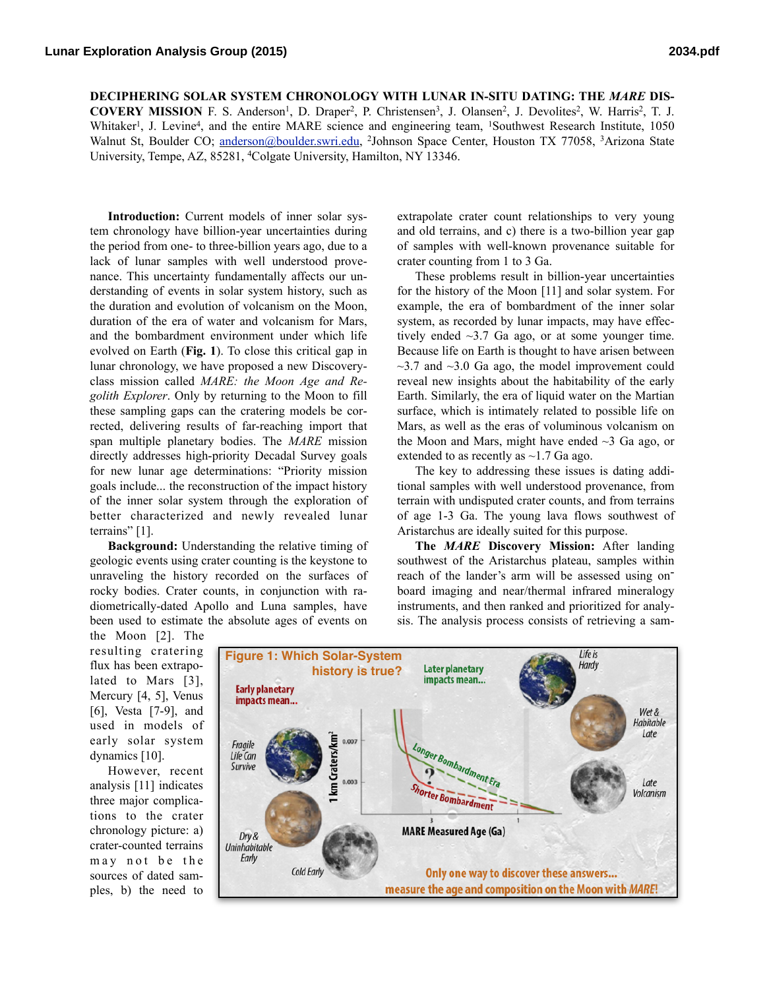**DECIPHERING SOLAR SYSTEM CHRONOLOGY WITH LUNAR IN-SITU DATING: THE** *MARE* **DIS-**

**COVERY MISSION** F. S. Anderson<sup>1</sup>, D. Draper<sup>2</sup>, P. Christensen<sup>3</sup>, J. Olansen<sup>2</sup>, J. Devolites<sup>2</sup>, W. Harris<sup>2</sup>, T. J. Whitaker<sup>1</sup>, J. Levine<sup>4</sup>, and the entire MARE science and engineering team, <sup>1</sup>Southwest Research Institute, 1050 Walnut St, Boulder CO; [anderson@boulder.swri.edu,](mailto:anderson@boulder.swri.edu) 2Johnson Space Center, Houston TX 77058, 3Arizona State University, Tempe, AZ, 85281, 4Colgate University, Hamilton, NY 13346.

**Introduction:** Current models of inner solar system chronology have billion-year uncertainties during the period from one- to three-billion years ago, due to a lack of lunar samples with well understood provenance. This uncertainty fundamentally affects our understanding of events in solar system history, such as the duration and evolution of volcanism on the Moon, duration of the era of water and volcanism for Mars, and the bombardment environment under which life evolved on Earth (**Fig. 1**). To close this critical gap in lunar chronology, we have proposed a new Discoveryclass mission called *MARE: the Moon Age and Regolith Explorer*. Only by returning to the Moon to fill these sampling gaps can the cratering models be corrected, delivering results of far-reaching import that span multiple planetary bodies. The *MARE* mission directly addresses high-priority Decadal Survey goals for new lunar age determinations: "Priority mission goals include... the reconstruction of the impact history of the inner solar system through the exploration of better characterized and newly revealed lunar terrains" [1].

**Background:** Understanding the relative timing of geologic events using crater counting is the keystone to unraveling the history recorded on the surfaces of rocky bodies. Crater counts, in conjunction with radiometrically-dated Apollo and Luna samples, have been used to estimate the absolute ages of events on

extrapolate crater count relationships to very young and old terrains, and c) there is a two-billion year gap of samples with well-known provenance suitable for crater counting from 1 to 3 Ga.

These problems result in billion-year uncertainties for the history of the Moon [11] and solar system. For example, the era of bombardment of the inner solar system, as recorded by lunar impacts, may have effectively ended  $\sim$ 3.7 Ga ago, or at some younger time. Because life on Earth is thought to have arisen between  $\sim$ 3.7 and  $\sim$ 3.0 Ga ago, the model improvement could reveal new insights about the habitability of the early Earth. Similarly, the era of liquid water on the Martian surface, which is intimately related to possible life on Mars, as well as the eras of voluminous volcanism on the Moon and Mars, might have ended  $\sim$ 3 Ga ago, or extended to as recently as  $\sim$ 1.7 Ga ago.

The key to addressing these issues is dating additional samples with well understood provenance, from terrain with undisputed crater counts, and from terrains of age 1-3 Ga. The young lava flows southwest of Aristarchus are ideally suited for this purpose.

**The** *MARE* **Discovery Mission:** After landing southwest of the Aristarchus plateau, samples within reach of the lander's arm will be assessed using onboard imaging and near/thermal infrared mineralogy instruments, and then ranked and prioritized for analysis. The analysis process consists of retrieving a sam-

the Moon [2]. The resulting cratering flux has been extrapolated to Mars [3], Mercury [4, 5], Venus [6], Vesta [7-9], and used in models of early solar system dynamics [10].

However, recent analysis [11] indicates three major complications to the crater chronology picture: a) crater-counted terrains may not be the sources of dated samples, b) the need to